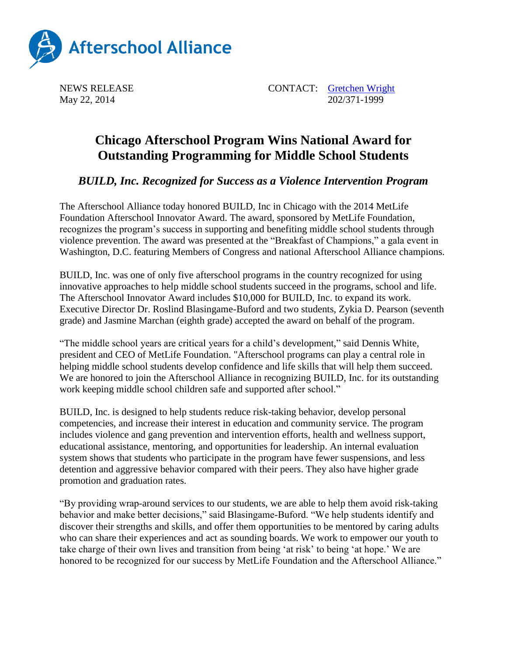

NEWS RELEASE CONTACT: [Gretchen Wright](mailto:gretchen@prsolutionsdc.com) May 22, 2014 202/371-1999

## **Chicago Afterschool Program Wins National Award for Outstanding Programming for Middle School Students**

*BUILD, Inc. Recognized for Success as a Violence Intervention Program*

The Afterschool Alliance today honored BUILD, Inc in Chicago with the 2014 MetLife Foundation Afterschool Innovator Award. The award, sponsored by MetLife Foundation, recognizes the program's success in supporting and benefiting middle school students through violence prevention. The award was presented at the "Breakfast of Champions," a gala event in Washington, D.C. featuring Members of Congress and national Afterschool Alliance champions.

BUILD, Inc. was one of only five afterschool programs in the country recognized for using innovative approaches to help middle school students succeed in the programs, school and life. The Afterschool Innovator Award includes \$10,000 for BUILD, Inc. to expand its work. Executive Director Dr. Roslind Blasingame-Buford and two students, Zykia D. Pearson (seventh grade) and Jasmine Marchan (eighth grade) accepted the award on behalf of the program.

"The middle school years are critical years for a child's development," said Dennis White, president and CEO of MetLife Foundation. "Afterschool programs can play a central role in helping middle school students develop confidence and life skills that will help them succeed. We are honored to join the Afterschool Alliance in recognizing BUILD, Inc. for its outstanding work keeping middle school children safe and supported after school."

BUILD, Inc. is designed to help students reduce risk-taking behavior, develop personal competencies, and increase their interest in education and community service. The program includes violence and gang prevention and intervention efforts, health and wellness support, educational assistance, mentoring, and opportunities for leadership. An internal evaluation system shows that students who participate in the program have fewer suspensions, and less detention and aggressive behavior compared with their peers. They also have higher grade promotion and graduation rates.

"By providing wrap-around services to our students, we are able to help them avoid risk-taking behavior and make better decisions," said Blasingame-Buford. "We help students identify and discover their strengths and skills, and offer them opportunities to be mentored by caring adults who can share their experiences and act as sounding boards. We work to empower our youth to take charge of their own lives and transition from being 'at risk' to being 'at hope.' We are honored to be recognized for our success by MetLife Foundation and the Afterschool Alliance."